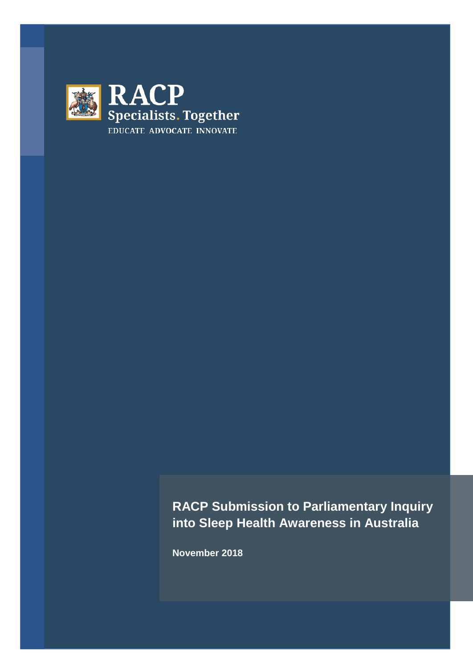

**RACP Submission to Parliamentary Inquiry into Sleep Health Awareness in Australia**

**November 2018**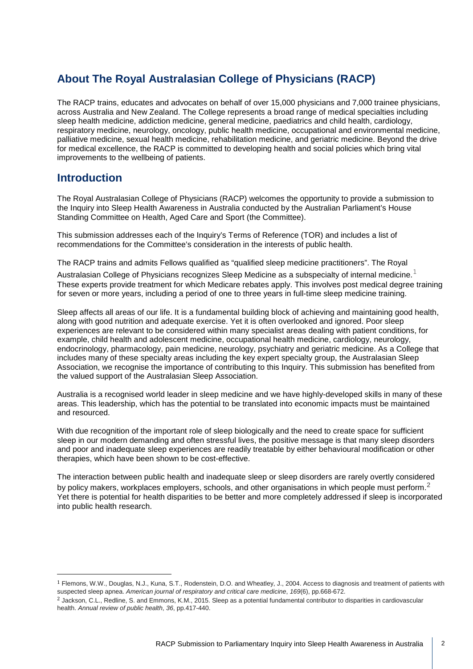# **About The Royal Australasian College of Physicians (RACP)**

The RACP trains, educates and advocates on behalf of over 15,000 physicians and 7,000 trainee physicians, across Australia and New Zealand. The College represents a broad range of medical specialties including sleep health medicine, addiction medicine, general medicine, paediatrics and child health, cardiology, respiratory medicine, neurology, oncology, public health medicine, occupational and environmental medicine, palliative medicine, sexual health medicine, rehabilitation medicine, and geriatric medicine. Beyond the drive for medical excellence, the RACP is committed to developing health and social policies which bring vital improvements to the wellbeing of patients.

## **Introduction**

The Royal Australasian College of Physicians (RACP) welcomes the opportunity to provide a submission to the Inquiry into Sleep Health Awareness in Australia conducted by the Australian Parliament's House Standing Committee on Health, Aged Care and Sport (the Committee).

This submission addresses each of the Inquiry's Terms of Reference (TOR) and includes a list of recommendations for the Committee's consideration in the interests of public health.

The RACP trains and admits Fellows qualified as "qualified sleep medicine practitioners". The Royal

Australasian College of Physicians recognizes Sleep Medicine as a subspecialty of internal medicine. $^{\rm 1}$  $^{\rm 1}$  $^{\rm 1}$ These experts provide treatment for which Medicare rebates apply. This involves post medical degree training for seven or more years, including a period of one to three years in full-time sleep medicine training.

Sleep affects all areas of our life. It is a fundamental building block of achieving and maintaining good health, along with good nutrition and adequate exercise. Yet it is often overlooked and ignored. Poor sleep experiences are relevant to be considered within many specialist areas dealing with patient conditions, for example, child health and adolescent medicine, occupational health medicine, cardiology, neurology, endocrinology, pharmacology, pain medicine, neurology, psychiatry and geriatric medicine. As a College that includes many of these specialty areas including the key expert specialty group, the Australasian Sleep Association, we recognise the importance of contributing to this Inquiry. This submission has benefited from the valued support of the Australasian Sleep Association.

Australia is a recognised world leader in sleep medicine and we have highly-developed skills in many of these areas. This leadership, which has the potential to be translated into economic impacts must be maintained and resourced.

With due recognition of the important role of sleep biologically and the need to create space for sufficient sleep in our modern demanding and often stressful lives, the positive message is that many sleep disorders and poor and inadequate sleep experiences are readily treatable by either behavioural modification or other therapies, which have been shown to be cost-effective.

The interaction between public health and inadequate sleep or sleep disorders are rarely overtly considered by policy makers, workplaces employers, schools, and other organisations in which people must perform.<sup>[2](#page-1-1)</sup> Yet there is potential for health disparities to be better and more completely addressed if sleep is incorporated into public health research.

<span id="page-1-0"></span> <sup>1</sup> Flemons, W.W., Douglas, N.J., Kuna, S.T., Rodenstein, D.O. and Wheatley, J., 2004. Access to diagnosis and treatment of patients with suspected sleep apnea. *American journal of respiratory and critical care medicine*, *169*(6), pp.668-672.

<span id="page-1-1"></span><sup>2</sup> Jackson, C.L., Redline, S. and Emmons, K.M., 2015. Sleep as a potential fundamental contributor to disparities in cardiovascular health. *Annual review of public health*, *36*, pp.417-440.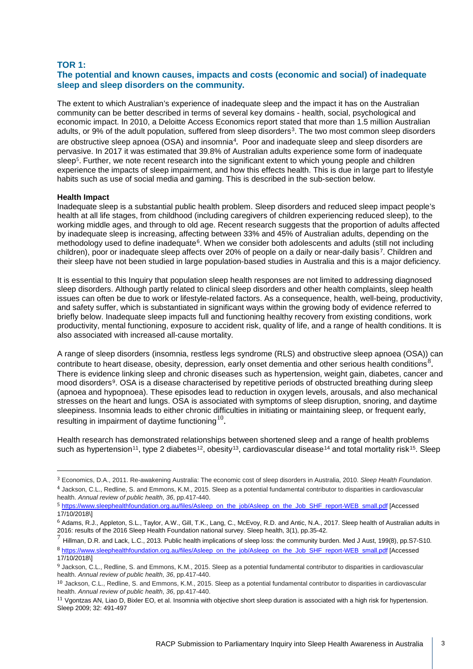#### **TOR 1:**

## **The potential and known causes, impacts and costs (economic and social) of inadequate sleep and sleep disorders on the community.**

The extent to which Australian's experience of inadequate sleep and the impact it has on the Australian community can be better described in terms of several key domains - health, social, psychological and economic impact. In 2010, a Deloitte Access Economics report stated that more than 1.5 million Australian adults, or 9% of the adult population, suffered from sleep disorders<sup>3</sup>. The two most common sleep disorders are obstructive sleep apnoea (OSA) and insomnia<sup>[4](#page-2-1)</sup>. Poor and inadequate sleep and sleep disorders are perv[as](#page-2-2)ive. In 2017 it was estimated that 39.8% of Australian adults experience some form of inadequate sleep<sup>5</sup>. Further, we note recent research into the significant extent to which young people and children experience the impacts of sleep impairment, and how this effects health. This is due in large part to lifestyle habits such as use of social media and gaming. This is described in the sub-section below.

#### **Health Impact**

Inadequate sleep is a substantial public health problem. Sleep disorders and reduced sleep impact people's health at all life stages, from childhood (including caregivers of children experiencing reduced sleep), to the working middle ages, and through to old age. Recent research suggests that the proportion of adults affected by inadequate sleep is increasing, affecting between 33% and 45% of Australian adults, depending on the methodology used to define inadequate<sup>[6](#page-2-3)</sup>. When we consider both adolescents and adults (still not including children), poor or inadequate sleep affects over 20% of people on a daily or near-daily basis[7.](#page-2-4) Children and their sleep have not been studied in large population-based studies in Australia and this is a major deficiency.

It is essential to this Inquiry that population sleep health responses are not limited to addressing diagnosed sleep disorders. Although partly related to clinical sleep disorders and other health complaints, sleep health issues can often be due to work or lifestyle-related factors. As a consequence, health, well-being, productivity, and safety suffer, which is substantiated in significant ways within the growing body of evidence referred to briefly below. Inadequate sleep impacts full and functioning healthy recovery from existing conditions, work productivity, mental functioning, exposure to accident risk, quality of life, and a range of health conditions. It is also associated with increased all-cause mortality.

A range of sleep disorders (insomnia, restless legs syndrome (RLS) and obstructive sleep apnoea (OSA)) can contribute to heart disease, obesity, depression, early onset dementia and other serious health conditions<sup>[8](#page-2-5)</sup>. There is evidence linking sleep and chronic diseases such as hypertension, weight gain, diabetes, cancer and mood disorders[9](#page-2-6). OSA is a disease characterised by repetitive periods of obstructed breathing during sleep (apnoea and hypopnoea). These episodes lead to reduction in oxygen levels, arousals, and also mechanical stresses on the heart and lungs. OSA is associated with symptoms of sleep disruption, snoring, and daytime sleepiness. Insomnia leads to either chronic difficulties in initiating or maintaining sleep, or frequent early, resulting in impairment of daytime functioning  $10$ .

<span id="page-2-10"></span><span id="page-2-9"></span>Health research has demonstrated relationships between shortened sleep and a range of health problems such as hypertension<sup>[11](#page-2-8)</sup>, type 2 diabetes<sup>[12](#page-2-9)</sup>, obesity<sup>[13](#page-2-10)</sup>, cardiovascular disease<sup>[14](#page-2-11)</sup> and total mortality risk<sup>15</sup>. Sleep

<span id="page-2-12"></span><span id="page-2-11"></span><span id="page-2-0"></span> <sup>3</sup> Economics, D.A., 2011. Re-awakening Australia: The economic cost of sleep disorders in Australia, 2010. *Sleep Health Foundation*. 4 Jackson, C.L., Redline, S. and Emmons, K.M., 2015. Sleep as a potential fundamental contributor to disparities in cardiovascular

<span id="page-2-1"></span>health. *Annual review of public health*, *36*, pp.417-440.

<span id="page-2-2"></span><sup>5</sup> [https://www.sleephealthfoundation.org.au/files/Asleep\\_on\\_the\\_job/Asleep\\_on\\_the\\_Job\\_SHF\\_report-WEB\\_small.pdf](https://www.sleephealthfoundation.org.au/files/Asleep_on_the_job/Asleep_on_the_Job_SHF_report-WEB_small.pdf) [Accessed 17/10/2018\]

<span id="page-2-3"></span><sup>6</sup> Adams, R.J., Appleton, S.L., Taylor, A.W., Gill, T.K., Lang, C., McEvoy, R.D. and Antic, N.A., 2017. Sleep health of Australian adults in 2016: results of the 2016 Sleep Health Foundation national survey. Sleep health, 3(1), pp.35-42.

<span id="page-2-5"></span><span id="page-2-4"></span><sup>7</sup> Hillman, D.R. and Lack, L.C., 2013. Public health implications of sleep loss: the community burden. Med J Aust, 199(8), pp.S7-S10. 8 [https://www.sleephealthfoundation.org.au/files/Asleep\\_on\\_the\\_job/Asleep\\_on\\_the\\_Job\\_SHF\\_report-WEB\\_small.pdf](https://www.sleephealthfoundation.org.au/files/Asleep_on_the_job/Asleep_on_the_Job_SHF_report-WEB_small.pdf) [Accessed 17/10/2018\]

<span id="page-2-6"></span><sup>9</sup> Jackson, C.L., Redline, S. and Emmons, K.M., 2015. Sleep as a potential fundamental contributor to disparities in cardiovascular health. *Annual review of public health*, *36*, pp.417-440.

<span id="page-2-7"></span><sup>10</sup> Jackson, C.L., Redline, S. and Emmons, K.M., 2015. Sleep as a potential fundamental contributor to disparities in cardiovascular health. *Annual review of public health*, *36*, pp.417-440.

<span id="page-2-8"></span><sup>&</sup>lt;sup>11</sup> Vgontzas AN, Liao D, Bixler EO, et al. Insomnia with objective short sleep duration is associated with a high risk for hypertension. Sleep 2009; 32: 491-497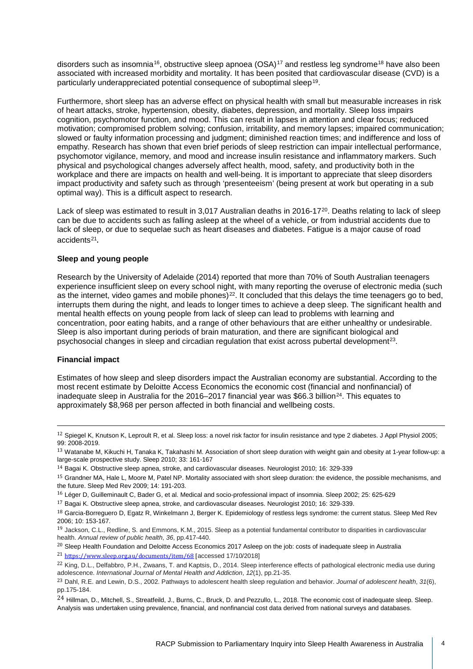disorders such as insomnia<sup>16</sup>, obstructive sleep apnoea (OSA)<sup>[17](#page-3-1)</sup> and restless leg syndrome<sup>[18](#page-3-2)</sup> have also been associated with increased morbidity and mortality. It has been posited that cardiovascular disease (CVD) is a particularly underappreciated potential consequence of suboptimal sleep[19](#page-3-3).

Furthermore, short sleep has an adverse effect on physical health with small but measurable increases in risk of heart attacks, stroke, hypertension, obesity, diabetes, depression, and mortality. Sleep loss impairs cognition, psychomotor function, and mood. This can result in lapses in attention and clear focus; reduced motivation; compromised problem solving; confusion, irritability, and memory lapses; impaired communication; slowed or faulty information processing and judgment; diminished reaction times; and indifference and loss of empathy. Research has shown that even brief periods of sleep restriction can impair intellectual performance, psychomotor vigilance, memory, and mood and increase insulin resistance and inflammatory markers. Such physical and psychological changes adversely affect health, mood, safety, and productivity both in the workplace and there are impacts on health and well-being. It is important to appreciate that sleep disorders impact productivity and safety such as through 'presenteeism' (being present at work but operating in a sub optimal way). This is a difficult aspect to research.

Lack of sleep was estimated to result in 3,017 Australian deaths in [20](#page-3-4)16-17<sup>20</sup>. Deaths relating to lack of sleep can be due to accidents such as falling asleep at the wheel of a vehicle, or from industrial accidents due to lack of sleep, or due to sequelae such as heart diseases and diabetes. Fatigue is a major cause of road accidents[21](#page-3-5).

#### **Sleep and young people**

Research by the University of Adelaide (2014) reported that more than 70% of South Australian teenagers experience insufficient sleep on every school night, with many reporting the overuse of electronic media (such as the internet, video games and mobile phones)<sup>22</sup>. It concluded that this delays the time teenagers go to bed, interrupts them during the night, and leads to longer times to achieve a deep sleep. The significant health and mental health effects on young people from lack of sleep can lead to problems with learning and concentration, poor eating habits, and a range of other behaviours that are either unhealthy or undesirable. Sleep is also important during periods of brain maturation, and there are significant biological and psychosocial changes in sleep and circadian regulation that exist across pubertal development[23.](#page-3-7)

#### **Financial impact**

Estimates of how sleep and sleep disorders impact the Australian economy are substantial. According to the most recent estimate by Deloitte Access Economics the economic cost (financial and nonfinancial) of inadequate sleep in Australia for the 2016–2017 financial year was \$66.3 billion<sup>[24](#page-3-8)</sup>. This equates to approximately \$8,968 per person affected in both financial and wellbeing costs.

14 Bagai K. Obstructive sleep apnea, stroke, and cardiovascular diseases. Neurologist 2010; 16: 329-339

 $12$  Spiegel K, Knutson K, Leproult R, et al. Sleep loss: a novel risk factor for insulin resistance and type 2 diabetes. J Appl Physiol 2005; 99: 2008-2019.

<sup>13</sup> Watanabe M, Kikuchi H, Tanaka K, Takahashi M. Association of short sleep duration with weight gain and obesity at 1-year follow-up: a large-scale prospective study. Sleep 2010; 33: 161-167

<sup>&</sup>lt;sup>15</sup> Grandner MA, Hale L, Moore M, Patel NP. Mortality associated with short sleep duration: the evidence, the possible mechanisms, and the future. Sleep Med Rev 2009; 14: 191-203.

<span id="page-3-0"></span><sup>16</sup> Léger D, Guilleminault C, Bader G, et al. Medical and socio-professional impact of insomnia. Sleep 2002; 25: 625-629

<span id="page-3-1"></span><sup>17</sup> Bagai K. Obstructive sleep apnea, stroke, and cardiovascular diseases. Neurologist 2010; 16: 329-339.

<span id="page-3-2"></span><sup>18</sup> Garcia-Borreguero D, Egatz R, Winkelmann J, Berger K. Epidemiology of restless legs syndrome: the current status. Sleep Med Rev 2006; 10: 153-167.

<span id="page-3-3"></span><sup>19</sup> Jackson, C.L., Redline, S. and Emmons, K.M., 2015. Sleep as a potential fundamental contributor to disparities in cardiovascular health. *Annual review of public health*, *36*, pp.417-440.

<span id="page-3-4"></span> $20$  Sleep Health Foundation and Deloitte Access Economics 2017 Asleep on the job: costs of inadequate sleep in Australia <sup>21</sup> <https://www.sleep.org.au/documents/item/68> [accessed 17/10/2018]

<span id="page-3-6"></span><span id="page-3-5"></span><sup>&</sup>lt;sup>22</sup> King, D.L., Delfabbro, P.H., Zwaans, T. and Kaptsis, D., 2014. Sleep interference effects of pathological electronic media use during adolescence. *International Journal of Mental Health and Addiction*, *12*(1), pp.21-35.

<span id="page-3-7"></span><sup>23</sup> Dahl, R.E. and Lewin, D.S., 2002. Pathways to adolescent health sleep regulation and behavior. *Journal of adolescent health*, *31*(6), pp.175-184.

<span id="page-3-8"></span><sup>&</sup>lt;sup>24</sup> Hillman, D., Mitchell, S., Streatfeild, J., Burns, C., Bruck, D. and Pezzullo, L., 2018. The economic cost of inadequate sleep. Sleep. Analysis was undertaken using prevalence, financial, and nonfinancial cost data derived from national surveys and databases.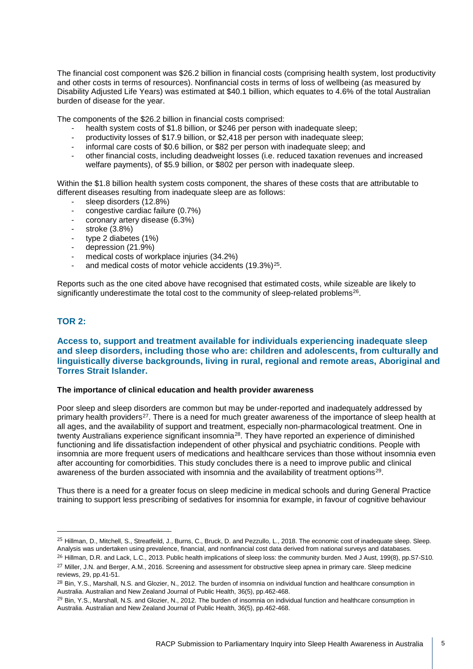The financial cost component was \$26.2 billion in financial costs (comprising health system, lost productivity and other costs in terms of resources). Nonfinancial costs in terms of loss of wellbeing (as measured by Disability Adjusted Life Years) was estimated at \$40.1 billion, which equates to 4.6% of the total Australian burden of disease for the year.

The components of the \$26.2 billion in financial costs comprised:

- health system costs of \$1.8 billion, or \$246 per person with inadequate sleep;
- productivity losses of \$17.9 billion, or \$2,418 per person with inadequate sleep;
- informal care costs of \$0.6 billion, or \$82 per person with inadequate sleep; and
- other financial costs, including deadweight losses (i.e. reduced taxation revenues and increased welfare payments), of \$5.9 billion, or \$802 per person with inadequate sleep.

Within the \$1.8 billion health system costs component, the shares of these costs that are attributable to different diseases resulting from inadequate sleep are as follows:

- sleep disorders (12.8%)
- congestive cardiac failure (0.7%)<br>- coronary artery disease (6.3%)
- coronary artery disease (6.3%)
- stroke  $(3.8\%)$ <br>- type 2 diabete
- type 2 diabetes (1%)
- depression (21.9%)
- medical costs of workplace injuries (34.2%)
- and medical costs of motor vehicle accidents (19.3%)<sup>25</sup>.

Reports such as the one cited above have recognised that estimated costs, while sizeable are likely to significantly underestimate the total cost to the community of sleep-related problems<sup>26</sup>.

## **TOR 2:**

## **Access to, support and treatment available for individuals experiencing inadequate sleep and sleep disorders, including those who are: children and adolescents, from culturally and linguistically diverse backgrounds, living in rural, regional and remote areas, Aboriginal and Torres Strait Islander.**

#### **The importance of clinical education and health provider awareness**

Poor sleep and [sleep disorders](https://www.sciencedirect.com/topics/neuroscience/sleep-disorders) are common but may be under-reported and inadequately addressed by primary health providers<sup>27</sup>. There is a need for much greater awareness of the importance of sleep health at all ages, and the availability of support and treatment, especially non-pharmacological treatment. One in twenty Australians experience significant insomnia[28.](#page-4-3) They have reported an experience of diminished functioning and life dissatisfaction independent of other physical and psychiatric conditions. People with insomnia are more frequent users of medications and healthcare services than those without insomnia even after accounting for comorbidities. This study concludes there is a need to improve public and clinical awareness of the burden associated with insomnia and the availability of treatment options<sup>[29](#page-4-4)</sup>.

Thus there is a need for a greater focus on sleep medicine in medical schools and during General Practice training to support less prescribing of sedatives for insomnia for example, in favour of cognitive behaviour

<span id="page-4-0"></span><sup>&</sup>lt;sup>25</sup> Hillman, D., Mitchell, S., Streatfeild, J., Burns, C., Bruck, D. and Pezzullo, L., 2018. The economic cost of inadequate sleep. Sleep. Analysis was undertaken using prevalence, financial, and nonfinancial cost data derived from national surveys and databases.

<span id="page-4-2"></span><span id="page-4-1"></span><sup>&</sup>lt;sup>26</sup> Hillman, D.R. and Lack, L.C., 2013. Public health implications of sleep loss: the community burden. Med J Aust, 199(8), pp.S7-S10. <sup>27</sup> Miller, J.N. and Berger, A.M., 2016. Screening and assessment for obstructive sleep apnea in primary care. Sleep medicine

reviews, 29, pp.41-51.

<span id="page-4-3"></span><sup>&</sup>lt;sup>28</sup> Bin, Y.S., Marshall, N.S. and Glozier, N., 2012. The burden of insomnia on individual function and healthcare consumption in Australia. Australian and New Zealand Journal of Public Health, 36(5), pp.462-468.

<span id="page-4-4"></span> $^{29}$  Bin, Y.S., Marshall, N.S. and Glozier, N., 2012. The burden of insomnia on individual function and healthcare consumption in Australia. Australian and New Zealand Journal of Public Health, 36(5), pp.462-468.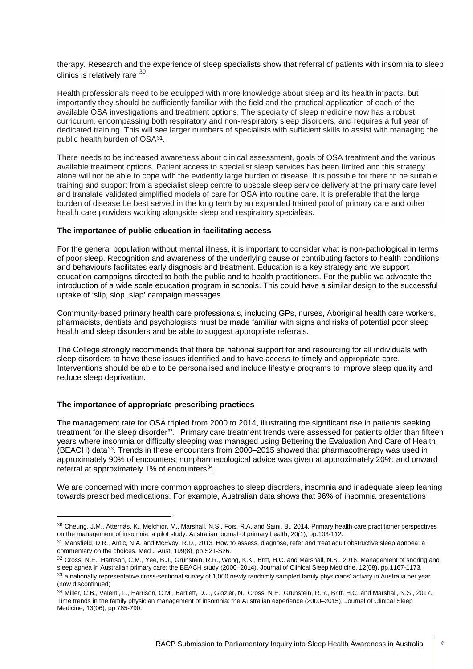therapy. Research and the experience of sleep specialists show that referral of patients with insomnia to sleep clinics is relatively rare  $30$ .

Health professionals need to be equipped with more knowledge about sleep and its health impacts, but importantly they should be sufficiently familiar with the field and the practical application of each of the available OSA investigations and treatment options. The specialty of sleep medicine now has a robust curriculum, encompassing both respiratory and non-respiratory sleep disorders, and requires a full year of dedicated training. This will see larger numbers of specialists with sufficient skills to assist with managing the public health burden of OSA[31.](#page-5-1)

There needs to be increased awareness about clinical assessment, goals of OSA treatment and the various available treatment options. Patient access to specialist sleep services has been limited and this strategy alone will not be able to cope with the evidently large burden of disease. It is possible for there to be suitable training and support from a specialist sleep centre to upscale sleep service delivery at the primary care level and translate validated simplified models of care for OSA into routine care. It is preferable that the large burden of disease be best served in the long term by an expanded trained pool of primary care and other health care providers working alongside sleep and respiratory specialists.

#### **The importance of public education in facilitating access**

For the general population without mental illness, it is important to consider what is non-pathological in terms of poor sleep. Recognition and awareness of the underlying cause or contributing factors to health conditions and behaviours facilitates early diagnosis and treatment. Education is a key strategy and we support education campaigns directed to both the public and to health practitioners. For the public we advocate the introduction of a wide scale education program in schools. This could have a similar design to the successful uptake of 'slip, slop, slap' campaign messages.

Community-based primary health care professionals, including GPs, nurses, Aboriginal health care workers, pharmacists, dentists and psychologists must be made familiar with signs and risks of potential poor sleep health and sleep disorders and be able to suggest appropriate referrals.

The College strongly recommends that there be national support for and resourcing for all individuals with sleep disorders to have these issues identified and to have access to timely and appropriate care. Interventions should be able to be personalised and include lifestyle programs to improve sleep quality and reduce sleep deprivation.

#### **The importance of appropriate prescribing practices**

The management rate for OSA tripled from 2000 to 2014, illustrating the significant rise in patients seeking treatment for the sleep disorder<sup>32</sup>. Primary care treatment trends were assessed for patients older than fifteen years where insomnia or difficulty sleeping was managed using Bettering the Evaluation And Care of Health (BEACH) data<sup>[33](#page-5-3)</sup>. Trends in these encounters from 2000–2015 showed that pharmacotherapy was used in approximately 90% of encounters; nonpharmacological advice was given at approximately 20%; and onward referral at approximately 1% of encounters<sup>34</sup>.

We are concerned with more common approaches to sleep disorders, insomnia and inadequate sleep leaning towards prescribed medications. For example, Australian data shows that 96% of insomnia presentations

<span id="page-5-0"></span> <sup>30</sup> Cheung, J.M., Atternäs, K., Melchior, M., Marshall, N.S., Fois, R.A. and Saini, B., 2014. Primary health care practitioner perspectives on the management of insomnia: a pilot study. Australian journal of primary health, 20(1), pp.103-112.

<span id="page-5-1"></span><sup>31</sup> Mansfield, D.R., Antic, N.A. and McEvoy, R.D., 2013. How to assess, diagnose, refer and treat adult obstructive sleep apnoea: a commentary on the choices. Med J Aust, 199(8), pp.S21-S26.

<span id="page-5-3"></span><span id="page-5-2"></span><sup>32</sup> Cross, N.E., Harrison, C.M., Yee, B.J., Grunstein, R.R., Wong, K.K., Britt, H.C. and Marshall, N.S., 2016. Management of snoring and sleep apnea in Australian primary care: the BEACH study (2000–2014). Journal of Clinical Sleep Medicine, 12(08), pp.1167-1173. 33 a nationally representative cross-sectional survey of 1,000 newly randomly sampled family physicians' activity in Australia per year (now discontinued)

<span id="page-5-4"></span><sup>34</sup> Miller, C.B., Valenti, L., Harrison, C.M., Bartlett, D.J., Glozier, N., Cross, N.E., Grunstein, R.R., Britt, H.C. and Marshall, N.S., 2017. Time trends in the family physician management of insomnia: the Australian experience (2000–2015). Journal of Clinical Sleep Medicine, 13(06), pp.785-790.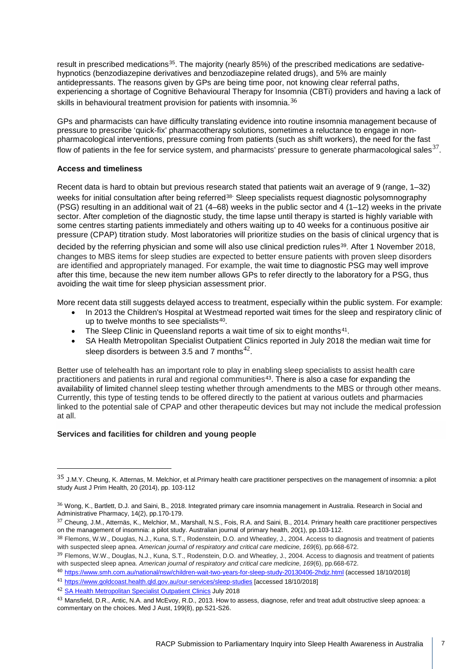result in prescribed medications<sup>[35](#page-6-0)</sup>. The majority (nearly 85%) of the prescribed medications are sedativehypnotics (benzodiazepine derivatives and benzodiazepine related drugs), and 5% are mainly antidepressants. The reasons given by GPs are being time poor, not knowing clear referral paths, experiencing a shortage of Cognitive Behavioural Therapy for Inso[mn](#page-6-1)ia (CBTi) providers and having a lack of skills in behavioural treatment provision for patients with insomnia.<sup>36</sup>

GPs and pharmacists can have difficulty translating evidence into routine insomnia management because of pressure to prescribe 'quick-fix' pharmacotherapy solutions, sometimes a reluctance to engage in nonpharmacological interventions, pressure coming from patients (such as shift workers), the need for the fast flow of patients in the fee for service system, and pharmacists' pressure to generate pharmacological sales  $37$ .

## **Access and timeliness**

Recent data is hard to obtain but previous research stated that patients wait an average of 9 (range, 1–32) weeks for initial consultation after being referred<sup>[38](#page-6-3).</sup> Sleep specialists request diagnostic polysomnography (PSG) resulting in an additional wait of 21 (4–68) weeks in the public sector and 4 [\(1–12\)](https://www.atsjournals.org/doi/full/10.1164/rccm.200308-1124PP) weeks in the private sector. After completion of the diagnostic study, the time lapse until therapy is started is highly variable with some centres starting patients immediately and others waiting up to 40 weeks for a continuous positive air pressure (CPAP) titration study. Most laboratories will prioritize studies on the basis of clinical urgency that is

decided by the referring physician and some will also use clinical prediction rules<sup>[39](#page-6-4)</sup>. After 1 November 2018, changes to MBS items for sleep studies are expected to better ensure patients with proven sleep disorders are identified and appropriately managed. For example, the wait time to diagnostic PSG may well improve after this time, because the new item number allows GPs to refer directly to the laboratory for a PSG, thus avoiding the wait time for sleep physician assessment prior.

More recent data still suggests delayed access to treatment, especially within the public system. For example:

- In 2013 the Children's Hospital at Westmead reported wait times for the sleep and respiratory clinic of up to twelve months to see specialists<sup>[40](#page-6-5)</sup>.
- The Sleep Clinic in Queensland reports a wait time of six to eight months<sup>[41](#page-6-6)</sup>.
- SA Health Metropolitan Specialist Outpatient Clinics reported in July 2018 the median wait time for sleep disorders is between 3.5 and 7 months $^{42}$  $^{42}$  $^{42}$ .

Better use of telehealth has an important role to play in enabling sleep specialists to assist health care practitioners and patients in rural and regional communities<sup>[43](#page-6-8)</sup>. There is also a case for expanding the availability of limited channel sleep testing whether through amendments to the MBS or through other means. Currently, this type of testing tends to be offered directly to the patient at various outlets and pharmacies linked to the potential sale of CPAP and other therapeutic devices but may not include the medical profession at all.

#### **Services and facilities for children and young people**

<span id="page-6-0"></span> $35$  J.M.Y. Cheung, K. Atternas, M. Melchior, et al.Primary health care practitioner perspectives on the management of insomnia: a pilot study Aust J Prim Health, 20 (2014), pp. 103-112

<span id="page-6-1"></span><sup>36</sup> Wong, K., Bartlett, D.J. and Saini, B., 2018. Integrated primary care insomnia management in Australia. Research in Social and Administrative Pharmacy, 14(2), pp.170-179.

<span id="page-6-2"></span><sup>37</sup> Cheung, J.M., Atternäs, K., Melchior, M., Marshall, N.S., Fois, R.A. and Saini, B., 2014. Primary health care practitioner perspectives on the management of insomnia: a pilot study. Australian journal of primary health, 20(1), pp.103-112.

<span id="page-6-3"></span><sup>38</sup> Flemons, W.W., Douglas, N.J., Kuna, S.T., Rodenstein, D.O. and Wheatley, J., 2004. Access to diagnosis and treatment of patients with suspected sleep apnea. *American journal of respiratory and critical care medicine*, *169*(6), pp.668-672.

<span id="page-6-4"></span><sup>&</sup>lt;sup>39</sup> Flemons, W.W., Douglas, N.J., Kuna, S.T., Rodenstein, D.O. and Wheatley, J., 2004. Access to diagnosis and treatment of patients with suspected sleep apnea. *American journal of respiratory and critical care medicine*, *169*(6), pp.668-672.

<span id="page-6-5"></span><sup>40</sup> <https://www.smh.com.au/national/nsw/children-wait-two-years-for-sleep-study-20130406-2hdjz.html> (accessed 18/10/2018]

<span id="page-6-6"></span><sup>41</sup> <https://www.goldcoast.health.qld.gov.au/our-services/sleep-studies> [accessed 18/10/2018]

<span id="page-6-7"></span><sup>42</sup> [SA Health Metropolitan Specialist Outpatient Clinics](https://www.sahealth.sa.gov.au/wps/wcm/connect/2dd265a5-9fb6-4201-bea3-e5e3d9ace0a7/SA+Health+Metropolitan+Specialist+Outpatient+Clinics+Waiting+Time+Report+of+31+July+2018.pdf?MOD=AJPERES&CACHEID=ROOTWORKSPACE-2dd265a5-9fb6-4201-bea3-e5e3d9ace0a7-mp1Snk7) July 2018

<span id="page-6-8"></span><sup>43</sup> Mansfield, D.R., Antic, N.A. and McEvoy, R.D., 2013. How to assess, diagnose, refer and treat adult obstructive sleep apnoea: a commentary on the choices. Med J Aust, 199(8), pp.S21-S26.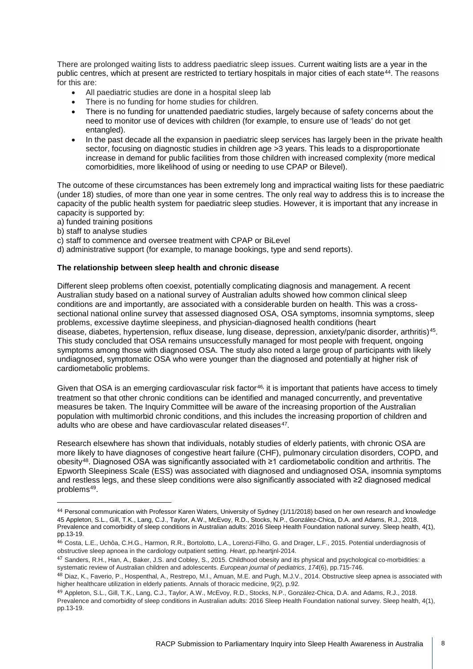There are prolonged waiting lists to address paediatric sleep issues. Current waiting lists are a year in the public centres, which at present are restricted to tertiary hospitals in major cities of each state<sup>44</sup>. The reasons for this are:

- All paediatric studies are done in a hospital sleep lab
- There is no funding for home studies for children.
- There is no funding for unattended paediatric studies, largely because of safety concerns about the need to monitor use of devices with children (for example, to ensure use of 'leads' do not get entangled).
- In the past decade all the expansion in paediatric sleep services has largely been in the private health sector, focusing on diagnostic studies in children age >3 years. This leads to a disproportionate increase in demand for public facilities from those children with increased complexity (more medical comorbidities, more likelihood of using or needing to use CPAP or Bilevel).

The outcome of these circumstances has been extremely long and impractical waiting lists for these paediatric (under 18) studies, of more than one year in some centres. The only real way to address this is to increase the capacity of the public health system for paediatric sleep studies. However, it is important that any increase in capacity is supported by:

- a) funded training positions
- b) staff to analyse studies
- c) staff to commence and oversee treatment with CPAP or BiLevel
- d) administrative support (for example, to manage bookings, type and send reports).

#### **The relationship between sleep health and chronic disease**

Different sleep problems often coexist, potentially complicating diagnosis and management. A recent Australian study based on a national survey of Australian adults showed how common clinical sleep conditions are and importantly, are associated with a considerable burden on health. This was a crosssectional national online survey that assessed diagnosed OSA, OSA symptoms, insomnia symptoms, sleep problems, [excessive daytime sleepiness,](https://www.sciencedirect.com/topics/medicine-and-dentistry/excessive-daytime-sleepiness) and physician-diagnosed health conditions (heart disease, [diabetes,](https://www.sciencedirect.com/topics/medicine-and-dentistry/diabetes) [hypertension,](https://www.sciencedirect.com/topics/medicine-and-dentistry/hypertension) [reflux](https://www.sciencedirect.com/topics/medicine-and-dentistry/reflux) disease, lung disease, depression, anxiety/panic disorder, arthritis)[45](#page-7-1). This study concluded that OSA remains unsuccessfully managed for most people with frequent, ongoing symptoms among those with diagnosed OSA. The study also noted a large group of participants with likely undiagnosed, symptomatic OSA who were younger than the diagnosed and potentially at higher risk of cardiometabolic problems.

Given that OSA is an emerging cardiovascular risk factor<sup>[46](#page-7-2),</sup> it is important that patients have access to timely treatment so that other chronic conditions can be identified and managed concurrently, and preventative measures be taken. The Inquiry Committee will be aware of the increasing proportion of the Australian population with multimorbid chronic conditions, and this includes the increasing proportion of children and adults who are obese and have cardiovascular related diseases<sup>47</sup>.

Research elsewhere has shown that individuals, notably studies of elderly patients, with chronic OSA are more likely to have diagnoses of congestive heart failure (CHF), pulmonary circulation disorders, COPD, and obesity[48](#page-7-4). Diagnosed OSA was significantly associated with ≥1 cardiometabolic condition and [arthritis.](https://www.sciencedirect.com/topics/medicine-and-dentistry/arthritis) The Epworth Sleepiness Scale (ESS) was associated with diagnosed and undiagnosed OSA, insomnia symptoms and restless legs, and these sleep conditions were also significantly associated with ≥2 diagnosed medical problems[49.](#page-7-5)

<span id="page-7-3"></span>47 Sanders, R.H., Han, A., Baker, J.S. and Cobley, S., 2015. Childhood obesity and its physical and psychological co-morbidities: a systematic review of Australian children and adolescents. *European journal of pediatrics*, *174*(6), pp.715-746.

<span id="page-7-1"></span><span id="page-7-0"></span> <sup>44</sup> Personal communication with Professor Karen Waters, University of Sydney (1/11/2018) based on her own research and knowledge 45 Appleton, S.L., Gill, T.K., Lang, C.J., Taylor, A.W., McEvoy, R.D., Stocks, N.P., González-Chica, D.A. and Adams, R.J., 2018. Prevalence and comorbidity of sleep conditions in Australian adults: 2016 Sleep Health Foundation national survey. Sleep health, 4(1), pp.13-19.

<span id="page-7-2"></span><sup>46</sup> Costa, L.E., Uchôa, C.H.G., Harmon, R.R., Bortolotto, L.A., Lorenzi-Filho, G. and Drager, L.F., 2015. Potential underdiagnosis of obstructive sleep apnoea in the cardiology outpatient setting. *Heart*, pp.heartjnl-2014.

<span id="page-7-4"></span><sup>48</sup> Diaz, K., Faverio, P., Hospenthal, A., Restrepo, M.I., Amuan, M.E. and Pugh, M.J.V., 2014. Obstructive sleep apnea is associated with higher healthcare utilization in elderly patients. Annals of thoracic medicine, 9(2), p.92.

<span id="page-7-5"></span><sup>49</sup> Appleton, S.L., Gill, T.K., Lang, C.J., Taylor, A.W., McEvoy, R.D., Stocks, N.P., González-Chica, D.A. and Adams, R.J., 2018. Prevalence and comorbidity of sleep conditions in Australian adults: 2016 Sleep Health Foundation national survey. Sleep health, 4(1), pp.13-19.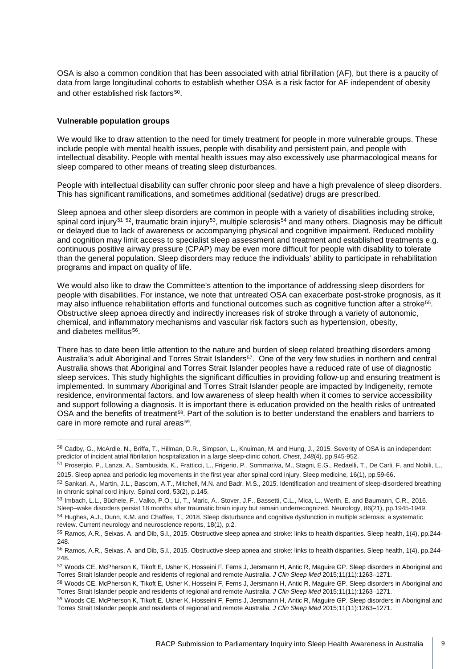OSA is also a common condition that has been associated with atrial fibrillation (AF), but there is a paucity of data from large longitudinal cohorts to establish whether OSA is a risk factor for AF independent of obesity and other established risk factors<sup>[50](#page-8-0)</sup>.

#### **Vulnerable population groups**

We would like to draw attention to the need for timely treatment for people in more vulnerable groups. These include people with mental health issues, people with disability and persistent pain, and people with intellectual disability. People with mental health issues may also excessively use pharmacological means for sleep compared to other means of treating sleep disturbances.

People with intellectual disability can suffer chronic poor sleep and have a high prevalence of sleep disorders. This has significant ramifications, and sometimes additional (sedative) drugs are prescribed.

Sleep apnoea and other sleep disorders are common in people with a variety of disabilities including stroke, spinal cord injury<sup>[51](#page-8-1) [52](#page-8-2)</sup>, traumatic brain injury<sup>[53](#page-8-3)</sup>, multiple sclerosis<sup>[54](#page-8-4)</sup> and many others. Diagnosis may be difficult or delayed due to lack of awareness or accompanying physical and cognitive impairment. Reduced mobility and cognition may limit access to specialist sleep assessment and treatment and established treatments e.g. continuous positive airway pressure (CPAP) may be even more difficult for people with disability to tolerate than the general population. Sleep disorders may reduce the individuals' ability to participate in rehabilitation programs and impact on quality of life.

We would also like to draw the Committee's attention to the importance of addressing sleep disorders for people with disabilities. For instance, we note that untreated OSA can exacerbate post-stroke prognosis, as it may also influence rehabilitation efforts and functional outcomes such as [cognitive function](https://www.sciencedirect.com/topics/medicine-and-dentistry/cognitive-function) after a stroke<sup>[55](#page-8-5)</sup>. Obstructive sleep apnoea directly and indirectly increases risk of stroke through a variety of autonomic, chemical, and inflammatory mechanisms and vascular risk factors such as [hypertension,](https://www.sciencedirect.com/topics/medicine-and-dentistry/hypertension) obesity, and [diabetes mellitus](https://www.sciencedirect.com/topics/neuroscience/diabetes-mellitus)<sup>56</sup>.

There has to date been little attention to the nature and burden of sleep related breathing disorders among Australia's adult Aboriginal and Torres Strait Islanders<sup>57</sup>. One of the very few studies in northern and central Australia shows that Aboriginal and Torres Strait Islander peoples have a reduced rate of use of diagnostic sleep services. This study highlights the significant difficulties in providing follow-up and ensuring treatment is implemented. In summary Aboriginal and Torres Strait Islander people are impacted by Indigeneity, remote residence, environmental factors, and low awareness of sleep health when it comes to service accessibility and support following a diagnosis. It is important there is education provided on the health risks of untreated OSA and the benefits of treatment<sup>[58](#page-8-8)</sup>. Part of the solution is to better understand the enablers and barriers to care in more remote and rural areas<sup>59</sup>.

<span id="page-8-0"></span> <sup>50</sup> Cadby, G., McArdle, N., Briffa, T., Hillman, D.R., Simpson, L., Knuiman, M. and Hung, J., 2015. Severity of OSA is an independent predictor of incident atrial fibrillation hospitalization in a large sleep-clinic cohort. *Chest*, *148*(4), pp.945-952.

<span id="page-8-1"></span><sup>51</sup> Proserpio, P., Lanza, A., Sambusida, K., Fratticci, L., Frigerio, P., Sommariva, M., Stagni, E.G., Redaelli, T., De Carli, F. and Nobili, L., 2015. Sleep apnea and periodic leg movements in the first year after spinal cord injury. Sleep medicine, 16(1), pp.59-66.

<span id="page-8-2"></span><sup>52</sup> Sankari, A., Martin, J.L., Bascom, A.T., Mitchell, M.N. and Badr, M.S., 2015. Identification and treatment of sleep-disordered breathing in chronic spinal cord injury. Spinal cord, 53(2), p.145.

<span id="page-8-4"></span><span id="page-8-3"></span><sup>53</sup> Imbach, L.L., Büchele, F., Valko, P.O., Li, T., Maric, A., Stover, J.F., Bassetti, C.L., Mica, L., Werth, E. and Baumann, C.R., 2016. Sleep–wake disorders persist 18 months after traumatic brain injury but remain underrecognized. Neurology, 86(21), pp.1945-1949. 54 Hughes, A.J., Dunn, K.M. and Chaffee, T., 2018. Sleep disturbance and cognitive dysfunction in multiple sclerosis: a systematic review. Current neurology and neuroscience reports, 18(1), p.2.

<span id="page-8-5"></span><sup>55</sup> Ramos, A.R., Seixas, A. and Dib, S.I., 2015. Obstructive sleep apnea and stroke: links to health disparities. Sleep health, 1(4), pp.244- 248.

<span id="page-8-6"></span><sup>56</sup> Ramos, A.R., Seixas, A. and Dib, S.I., 2015. Obstructive sleep apnea and stroke: links to health disparities. Sleep health, 1(4), pp.244- 248.

<span id="page-8-7"></span><sup>57</sup> Woods CE, McPherson K, Tikoft E, Usher K, Hosseini F, Ferns J, Jersmann H, Antic R, Maguire GP. Sleep disorders in Aboriginal and Torres Strait Islander people and residents of regional and remote Australia. *J Clin Sleep Med* 2015;11(11):1263–1271.

<span id="page-8-8"></span><sup>58</sup> Woods CE, McPherson K, Tikoft E, Usher K, Hosseini F, Ferns J, Jersmann H, Antic R, Maguire GP. Sleep disorders in Aboriginal and Torres Strait Islander people and residents of regional and remote Australia. *J Clin Sleep Med* 2015;11(11):1263–1271.

<span id="page-8-9"></span><sup>59</sup> Woods CE, McPherson K, Tikoft E, Usher K, Hosseini F, Ferns J, Jersmann H, Antic R, Maguire GP. Sleep disorders in Aboriginal and Torres Strait Islander people and residents of regional and remote Australia. *J Clin Sleep Med* 2015;11(11):1263–1271.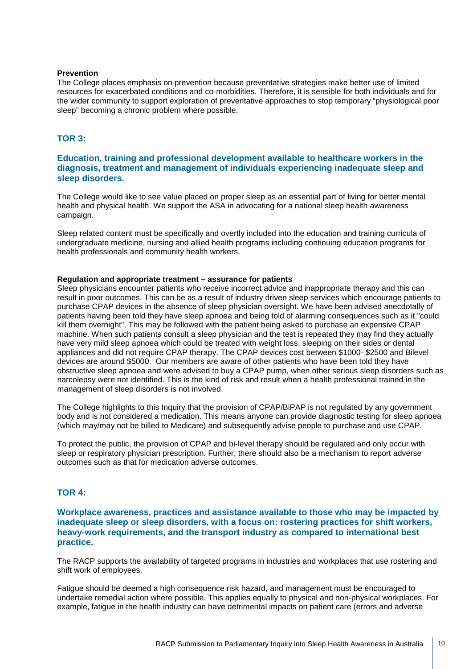#### **Prevention**

The College places emphasis on prevention because preventative strategies make better use of limited resources for exacerbated conditions and co-morbidities. Therefore, it is sensible for both individuals and for the wider community to support exploration of preventative approaches to stop temporary "physiological poor sleep" becoming a chronic problem where possible.

## **TOR 3:**

## **Education, training and professional development available to healthcare workers in the diagnosis, treatment and management of individuals experiencing inadequate sleep and sleep disorders.**

The College would like to see value placed on proper sleep as an essential part of living for better mental health and physical health. We support the ASA in advocating for a national sleep health awareness campaign.

Sleep related content must be specifically and overtly included into the education and training curricula of undergraduate medicine, nursing and allied health programs including continuing education programs for health professionals and community health workers.

#### **Regulation and appropriate treatment – assurance for patients**

Sleep physicians encounter patients who receive incorrect advice and inappropriate therapy and this can result in poor outcomes. This can be as a result of industry driven sleep services which encourage patients to purchase CPAP devices in the absence of sleep physician oversight. We have been advised anecdotally of patients having been told they have sleep apnoea and being told of alarming consequences such as it "could kill them overnight". This may be followed with the patient being asked to purchase an expensive CPAP machine. When such patients consult a sleep physician and the test is repeated they may find they actually have very mild sleep apnoea which could be treated with weight loss, sleeping on their sides or dental appliances and did not require CPAP therapy. The CPAP devices cost between \$1000- \$2500 and Bilevel devices are around \$5000. Our members are aware of other patients who have been told they have obstructive sleep apnoea and were advised to buy a CPAP pump, when other serious sleep disorders such as narcolepsy were not identified. This is the kind of risk and result when a health professional trained in the management of sleep disorders is not involved.

The College highlights to this Inquiry that the provision of CPAP/BiPAP is not regulated by any government body and is not considered a medication. This means anyone can provide diagnostic testing for sleep apnoea (which may/may not be billed to Medicare) and subsequently advise people to purchase and use CPAP.

To protect the public, the provision of CPAP and bi-level therapy should be regulated and only occur with sleep or respiratory physician prescription. Further, there should also be a mechanism to report adverse outcomes such as that for medication adverse outcomes.

## **TOR 4:**

## **Workplace awareness, practices and assistance available to those who may be impacted by inadequate sleep or sleep disorders, with a focus on: rostering practices for shift workers, heavy-work requirements, and the transport industry as compared to international best practice.**

The RACP supports the availability of targeted programs in industries and workplaces that use rostering and shift work of employees.

Fatigue should be deemed a high consequence risk hazard, and management must be encouraged to undertake remedial action where possible. This applies equally to physical and non-physical workplaces. For example, fatigue in the health industry can have detrimental impacts on patient care (errors and adverse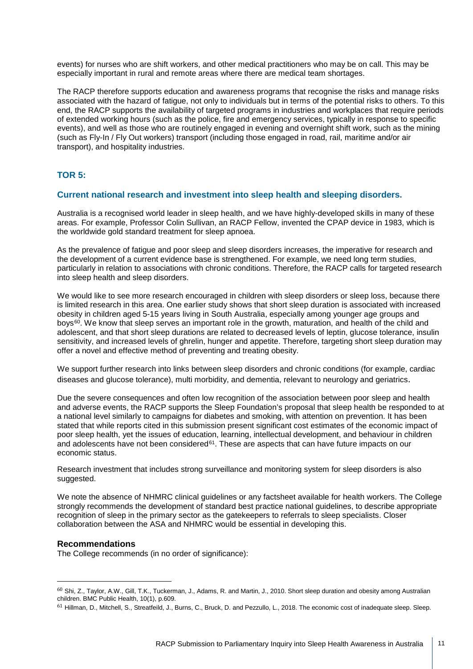events) for nurses who are shift workers, and other medical practitioners who may be on call. This may be especially important in rural and remote areas where there are medical team shortages.

The RACP therefore supports education and awareness programs that recognise the risks and manage risks associated with the hazard of fatigue, not only to individuals but in terms of the potential risks to others. To this end, the RACP supports the availability of targeted programs in industries and workplaces that require periods of extended working hours (such as the police, fire and emergency services, typically in response to specific events), and well as those who are routinely engaged in evening and overnight shift work, such as the mining (such as Fly-In / Fly Out workers) transport (including those engaged in road, rail, maritime and/or air transport), and hospitality industries.

## **TOR 5:**

## **Current national research and investment into sleep health and sleeping disorders.**

Australia is a recognised world leader in sleep health, and we have highly-developed skills in many of these areas. For example, Professor Colin Sullivan, an RACP Fellow, invented the CPAP device in 1983, which is the worldwide gold standard treatment for sleep apnoea.

As the prevalence of fatigue and poor sleep and sleep disorders increases, the imperative for research and the development of a current evidence base is strengthened. For example, we need long term studies, particularly in relation to associations with chronic conditions. Therefore, the RACP calls for targeted research into sleep health and sleep disorders.

We would like to see more research encouraged in children with sleep disorders or sleep loss, because there is limited research in this area. One earlier study shows that short sleep duration is associated with increased obesity in children aged 5-15 years living in South Australia, especially among younger age groups and boys<sup>60</sup>. We know that sleep serves an important role in the growth, maturation, and health of the child and adolescent, and that short sleep durations are related to decreased levels of leptin, glucose tolerance, insulin sensitivity, and increased levels of ghrelin, hunger and appetite. Therefore, targeting short sleep duration may offer a novel and effective method of preventing and treating obesity.

We support further research into links between sleep disorders and chronic conditions (for example, cardiac diseases and glucose tolerance), multi morbidity, and dementia, relevant to neurology and geriatrics.

Due the severe consequences and often low recognition of the association between poor sleep and health and adverse events, the RACP supports the Sleep Foundation's proposal that sleep health be responded to at a national level similarly to campaigns for diabetes and smoking, with attention on prevention. It has been stated that while reports cited in this submission present significant cost estimates of the economic impact of poor sleep health, yet the issues of education, learning, intellectual development, and behaviour in children and adolescents have not been considered $61$ . These are aspects that can have future impacts on our economic status.

Research investment that includes strong surveillance and monitoring system for sleep disorders is also suggested.

We note the absence of NHMRC clinical guidelines or any factsheet available for health workers. The College strongly recommends the development of standard best practice national guidelines, to describe appropriate recognition of sleep in the primary sector as the gatekeepers to referrals to sleep specialists. Closer collaboration between the ASA and NHMRC would be essential in developing this.

#### **Recommendations**

The College recommends (in no order of significance):

<span id="page-10-0"></span> <sup>60</sup> Shi, Z., Taylor, A.W., Gill, T.K., Tuckerman, J., Adams, R. and Martin, J., 2010. Short sleep duration and obesity among Australian children. BMC Public Health, 10(1), p.609.

<span id="page-10-1"></span><sup>61</sup> Hillman, D., Mitchell, S., Streatfeild, J., Burns, C., Bruck, D. and Pezzullo, L., 2018. The economic cost of inadequate sleep. Sleep.